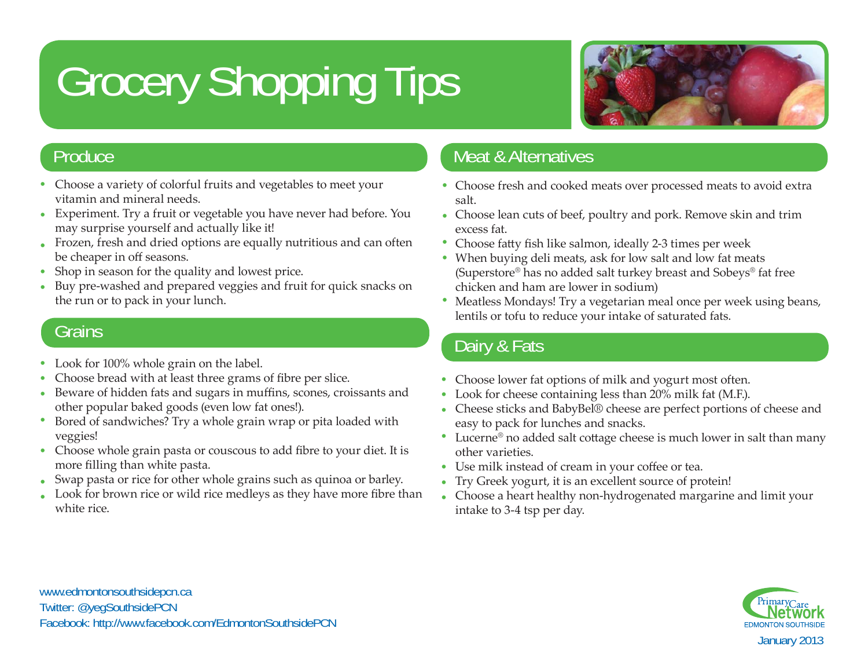# Grocery Shopping Tips



### **Produce**

- Choose a variety of colorful fruits and vegetables to meet your vitamin and mineral needs.
- Experiment. Try a fruit or vegetable you have never had before. You •may surprise yourself and actually like it!
- Frozen, fresh and dried options are equally nutritious and can often be cheaper in o ff seasons. •
- Shop in season for the quality and lowest price. •
- Buy pre-washed and prepared veggies and fruit for quick snacks on the run or to pack in your lunch. •

- Look for 100% whole grain on the label.
- Choose bread with at least three grams of fibre per slice. •
- Beware of hidden fats and sugars in muffins, scones, croissants and other popular baked goods (even low fat ones!). •
- Bored of sandwiches? Try a whole grain wrap or pita loaded with veggies! •
- Choose whole grain pasta or couscous to add fibre to your diet. It is more fi lling than white pasta.
- Swap pasta or rice for other whole grains such as quinoa or barley. •
- Look for brown rice or wild rice medleys as they have more fibre than white rice. •

# Meat & Alternatives

- Choose fresh and cooked meats over processed meats to avoid extra salt.
- Choose lean cuts of beef, poultry and pork. Remove skin and trim excess fat.
- Choose fatty fish like salmon, ideally 2-3 times per week
- When buying deli meats, ask for low salt and low fat meats (Superstore ® has no added salt turkey breast and Sobeys ® fat free chicken and ham are lower in sodium)
- Meatless Mondays! Try a vegetarian meal once per week using beans, lentils or tofu to reduce your intake of saturated fats. Grains

## Dairy & Fats

- Choose lower fat options of milk and yogurt most often.
- Look for cheese containing less than 20% milk fat (M.F.).
- Cheese sticks and BabyBel® cheese are perfect portions of cheese and easy to pack for lunches and snacks.
- Lucerne<sup>®</sup> no added salt cottage cheese is much lower in salt than many other varieties.
- Use milk instead of cream in your coffee or tea.
- Try Greek yogurt, it is an excellent source of protein! •
- Choose a heart healthy non-hydrogenated margarine and limit your •intake to 3-4 tsp per day.



www.edmontonsouthsidepcn.ca Twitter: @yegSouthsidePCN Facebook: http://www.facebook.com/EdmontonSouthsidePCN